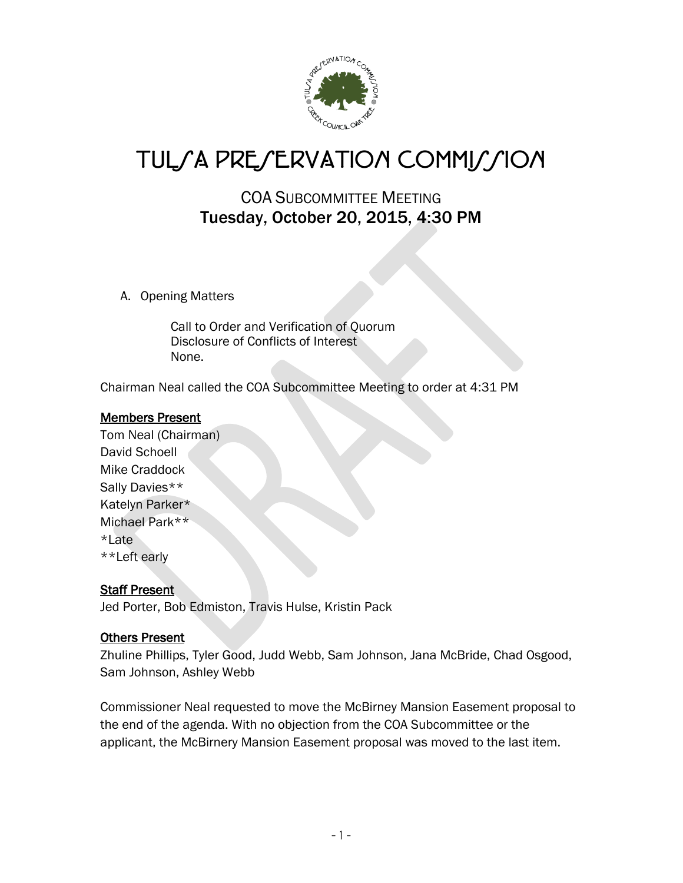

# TULSA PRESERVATION COMMISSION

# COA SUBCOMMITTEE MEETING Tuesday, October 20, 2015, 4:30 PM

A. Opening Matters

Call to Order and Verification of Quorum Disclosure of Conflicts of Interest None.

Chairman Neal called the COA Subcommittee Meeting to order at 4:31 PM

### Members Present

Tom Neal (Chairman) David Schoell Mike Craddock Sally Davies\*\* Katelyn Parker\* Michael Park\*\* \*Late \*\*Left early

### Staff Present

Jed Porter, Bob Edmiston, Travis Hulse, Kristin Pack

### Others Present

Zhuline Phillips, Tyler Good, Judd Webb, Sam Johnson, Jana McBride, Chad Osgood, Sam Johnson, Ashley Webb

Commissioner Neal requested to move the McBirney Mansion Easement proposal to the end of the agenda. With no objection from the COA Subcommittee or the applicant, the McBirnery Mansion Easement proposal was moved to the last item.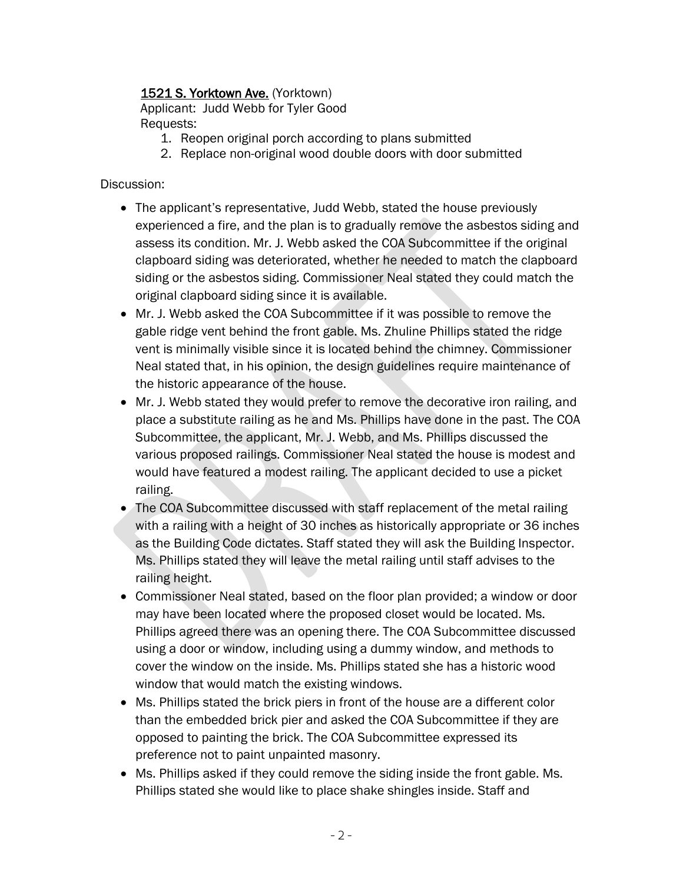# 1521 S. Yorktown Ave. (Yorktown)

Applicant: Judd Webb for Tyler Good Requests:

- 1. Reopen original porch according to plans submitted
- 2. Replace non-original wood double doors with door submitted

### Discussion:

- The applicant's representative, Judd Webb, stated the house previously experienced a fire, and the plan is to gradually remove the asbestos siding and assess its condition. Mr. J. Webb asked the COA Subcommittee if the original clapboard siding was deteriorated, whether he needed to match the clapboard siding or the asbestos siding. Commissioner Neal stated they could match the original clapboard siding since it is available.
- Mr. J. Webb asked the COA Subcommittee if it was possible to remove the gable ridge vent behind the front gable. Ms. Zhuline Phillips stated the ridge vent is minimally visible since it is located behind the chimney. Commissioner Neal stated that, in his opinion, the design guidelines require maintenance of the historic appearance of the house.
- Mr. J. Webb stated they would prefer to remove the decorative iron railing, and place a substitute railing as he and Ms. Phillips have done in the past. The COA Subcommittee, the applicant, Mr. J. Webb, and Ms. Phillips discussed the various proposed railings. Commissioner Neal stated the house is modest and would have featured a modest railing. The applicant decided to use a picket railing.
- The COA Subcommittee discussed with staff replacement of the metal railing with a railing with a height of 30 inches as historically appropriate or 36 inches as the Building Code dictates. Staff stated they will ask the Building Inspector. Ms. Phillips stated they will leave the metal railing until staff advises to the railing height.
- Commissioner Neal stated, based on the floor plan provided; a window or door may have been located where the proposed closet would be located. Ms. Phillips agreed there was an opening there. The COA Subcommittee discussed using a door or window, including using a dummy window, and methods to cover the window on the inside. Ms. Phillips stated she has a historic wood window that would match the existing windows.
- Ms. Phillips stated the brick piers in front of the house are a different color than the embedded brick pier and asked the COA Subcommittee if they are opposed to painting the brick. The COA Subcommittee expressed its preference not to paint unpainted masonry.
- Ms. Phillips asked if they could remove the siding inside the front gable. Ms. Phillips stated she would like to place shake shingles inside. Staff and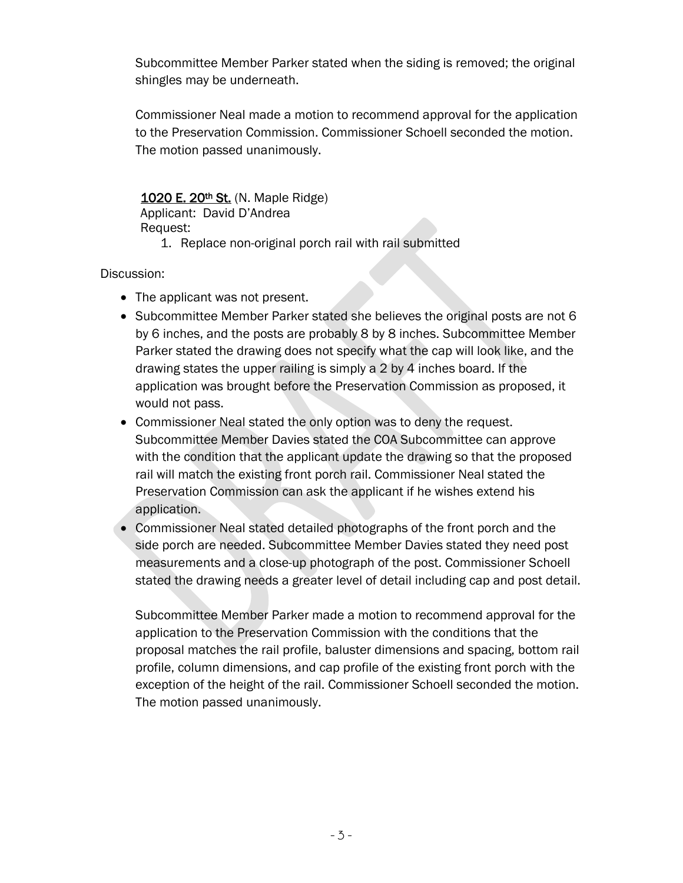Subcommittee Member Parker stated when the siding is removed; the original shingles may be underneath.

Commissioner Neal made a motion to recommend approval for the application to the Preservation Commission. Commissioner Schoell seconded the motion. The motion passed unanimously.

# 1020 E. 20<sup>th</sup> St. (N. Maple Ridge)

Applicant: David D'Andrea Request:

1. Replace non-original porch rail with rail submitted

Discussion:

- The applicant was not present.
- Subcommittee Member Parker stated she believes the original posts are not 6 by 6 inches, and the posts are probably 8 by 8 inches. Subcommittee Member Parker stated the drawing does not specify what the cap will look like, and the drawing states the upper railing is simply a 2 by 4 inches board. If the application was brought before the Preservation Commission as proposed, it would not pass.
- Commissioner Neal stated the only option was to deny the request. Subcommittee Member Davies stated the COA Subcommittee can approve with the condition that the applicant update the drawing so that the proposed rail will match the existing front porch rail. Commissioner Neal stated the Preservation Commission can ask the applicant if he wishes extend his application.
- Commissioner Neal stated detailed photographs of the front porch and the side porch are needed. Subcommittee Member Davies stated they need post measurements and a close-up photograph of the post. Commissioner Schoell stated the drawing needs a greater level of detail including cap and post detail.

Subcommittee Member Parker made a motion to recommend approval for the application to the Preservation Commission with the conditions that the proposal matches the rail profile, baluster dimensions and spacing, bottom rail profile, column dimensions, and cap profile of the existing front porch with the exception of the height of the rail. Commissioner Schoell seconded the motion. The motion passed unanimously.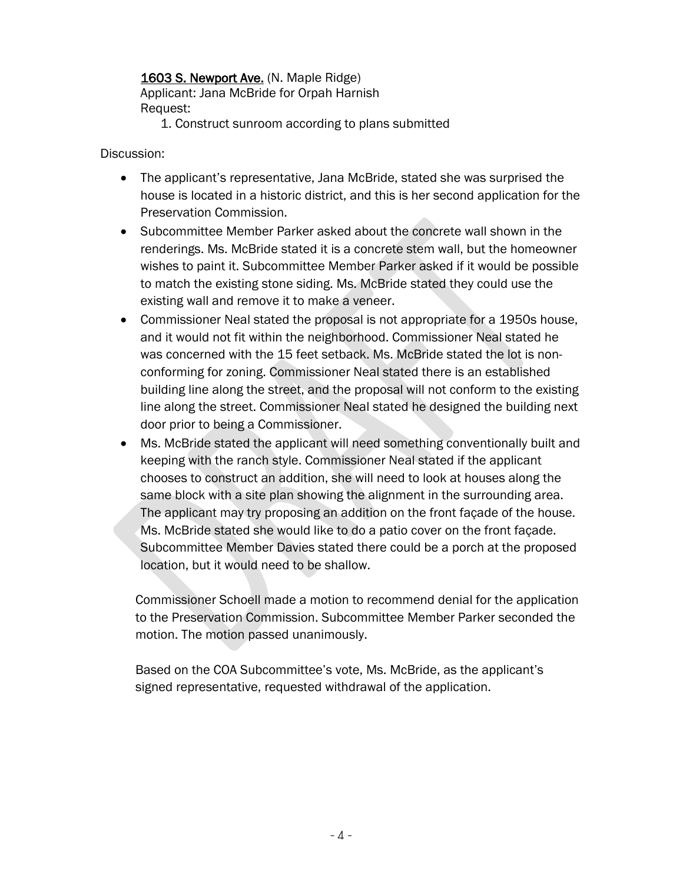# 1603 S. Newport Ave. (N. Maple Ridge)

Applicant: Jana McBride for Orpah Harnish Request:

1. Construct sunroom according to plans submitted

Discussion:

- The applicant's representative, Jana McBride, stated she was surprised the house is located in a historic district, and this is her second application for the Preservation Commission.
- Subcommittee Member Parker asked about the concrete wall shown in the renderings. Ms. McBride stated it is a concrete stem wall, but the homeowner wishes to paint it. Subcommittee Member Parker asked if it would be possible to match the existing stone siding. Ms. McBride stated they could use the existing wall and remove it to make a veneer.
- Commissioner Neal stated the proposal is not appropriate for a 1950s house, and it would not fit within the neighborhood. Commissioner Neal stated he was concerned with the 15 feet setback. Ms. McBride stated the lot is nonconforming for zoning. Commissioner Neal stated there is an established building line along the street, and the proposal will not conform to the existing line along the street. Commissioner Neal stated he designed the building next door prior to being a Commissioner.
- Ms. McBride stated the applicant will need something conventionally built and keeping with the ranch style. Commissioner Neal stated if the applicant chooses to construct an addition, she will need to look at houses along the same block with a site plan showing the alignment in the surrounding area. The applicant may try proposing an addition on the front façade of the house. Ms. McBride stated she would like to do a patio cover on the front façade. Subcommittee Member Davies stated there could be a porch at the proposed location, but it would need to be shallow.

Commissioner Schoell made a motion to recommend denial for the application to the Preservation Commission. Subcommittee Member Parker seconded the motion. The motion passed unanimously.

Based on the COA Subcommittee's vote, Ms. McBride, as the applicant's signed representative, requested withdrawal of the application.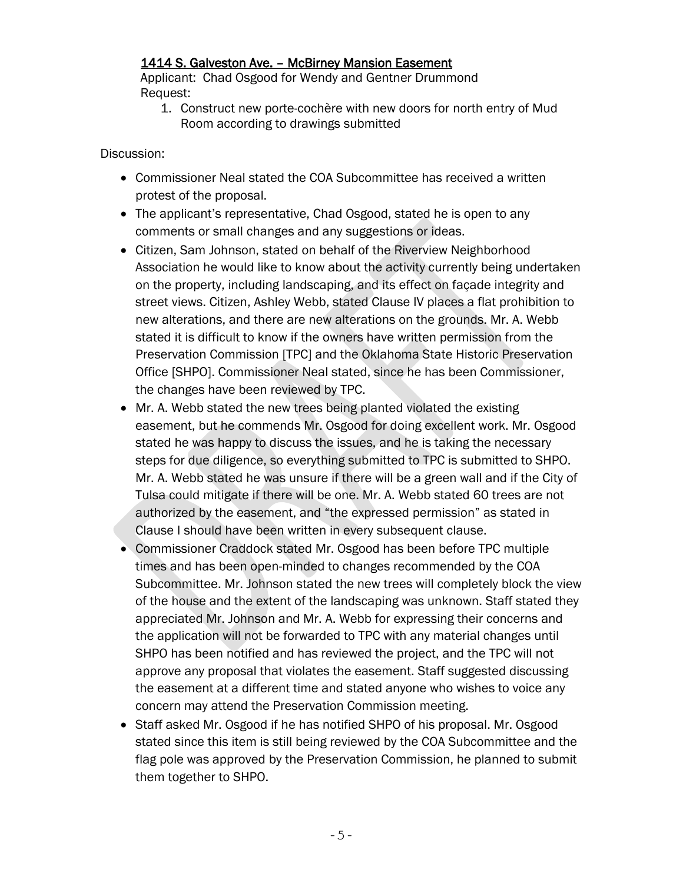# 1414 S. Galveston Ave. – McBirney Mansion Easement

Applicant: Chad Osgood for Wendy and Gentner Drummond Request:

1. Construct new porte-cochère with new doors for north entry of Mud Room according to drawings submitted

Discussion:

- Commissioner Neal stated the COA Subcommittee has received a written protest of the proposal.
- The applicant's representative, Chad Osgood, stated he is open to any comments or small changes and any suggestions or ideas.
- Citizen, Sam Johnson, stated on behalf of the Riverview Neighborhood Association he would like to know about the activity currently being undertaken on the property, including landscaping, and its effect on façade integrity and street views. Citizen, Ashley Webb, stated Clause IV places a flat prohibition to new alterations, and there are new alterations on the grounds. Mr. A. Webb stated it is difficult to know if the owners have written permission from the Preservation Commission [TPC] and the Oklahoma State Historic Preservation Office [SHPO]. Commissioner Neal stated, since he has been Commissioner, the changes have been reviewed by TPC.
- Mr. A. Webb stated the new trees being planted violated the existing easement, but he commends Mr. Osgood for doing excellent work. Mr. Osgood stated he was happy to discuss the issues, and he is taking the necessary steps for due diligence, so everything submitted to TPC is submitted to SHPO. Mr. A. Webb stated he was unsure if there will be a green wall and if the City of Tulsa could mitigate if there will be one. Mr. A. Webb stated 60 trees are not authorized by the easement, and "the expressed permission" as stated in Clause I should have been written in every subsequent clause.
- Commissioner Craddock stated Mr. Osgood has been before TPC multiple times and has been open-minded to changes recommended by the COA Subcommittee. Mr. Johnson stated the new trees will completely block the view of the house and the extent of the landscaping was unknown. Staff stated they appreciated Mr. Johnson and Mr. A. Webb for expressing their concerns and the application will not be forwarded to TPC with any material changes until SHPO has been notified and has reviewed the project, and the TPC will not approve any proposal that violates the easement. Staff suggested discussing the easement at a different time and stated anyone who wishes to voice any concern may attend the Preservation Commission meeting.
- Staff asked Mr. Osgood if he has notified SHPO of his proposal. Mr. Osgood stated since this item is still being reviewed by the COA Subcommittee and the flag pole was approved by the Preservation Commission, he planned to submit them together to SHPO.